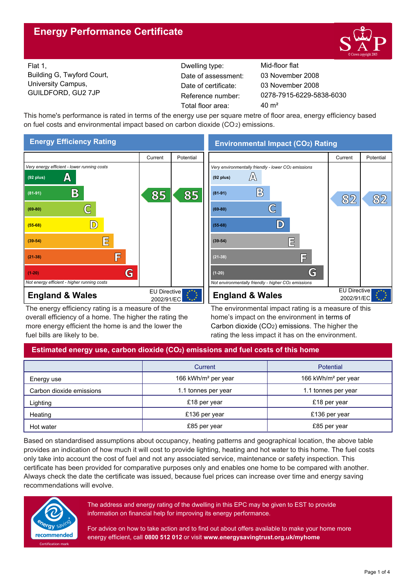# **Energy Performance Certificate**



Flat 1, Building G, Twyford Court, University Campus, GUILDFORD, GU2 7JP Reference number:

Dwelling type: Mid-floor flat Date of certificate: Total floor area: 40 m<sup>2</sup> Date of assessment:

0278-7915-6229-5838-6030 03 November 2008 03 November 2008

This home's performance is rated in terms of the energy use per square metre of floor area, energy efficiency based on fuel costs and environmental impact based on carbon dioxide (CO2) emissions.



The energy efficiency rating is a measure of the overall efficiency of a home. The higher the rating the more energy efficient the home is and the lower the fuel bills are likely to be.

The environmental impact rating is a measure of this home's impact on the environment in terms of Carbon dioxide (CO2) emissions. The higher the rating the less impact it has on the environment.

## **Estimated energy use, carbon dioxide (CO2) emissions and fuel costs of this home**

|                          | Current                         | Potential                       |  |
|--------------------------|---------------------------------|---------------------------------|--|
| Energy use               | 166 kWh/m <sup>2</sup> per year | 166 kWh/m <sup>2</sup> per year |  |
| Carbon dioxide emissions | 1.1 tonnes per year             | 1.1 tonnes per year             |  |
| Lighting                 | £18 per year                    | £18 per year                    |  |
| Heating                  | £136 per year                   | £136 per year                   |  |
| Hot water                | £85 per year                    | £85 per year                    |  |

Based on standardised assumptions about occupancy, heating patterns and geographical location, the above table provides an indication of how much it will cost to provide lighting, heating and hot water to this home. The fuel costs only take into account the cost of fuel and not any associated service, maintenance or safety inspection. This certificate has been provided for comparative purposes only and enables one home to be compared with another. Always check the date the certificate was issued, because fuel prices can increase over time and energy saving recommendations will evolve.



The address and energy rating of the dwelling in this EPC may be given to EST to provide information on financial help for improving its energy performance.

For advice on how to take action and to find out about offers available to make your home more energy efficient, call **0800 512 012** or visit **www.energysavingtrust.org.uk/myhome**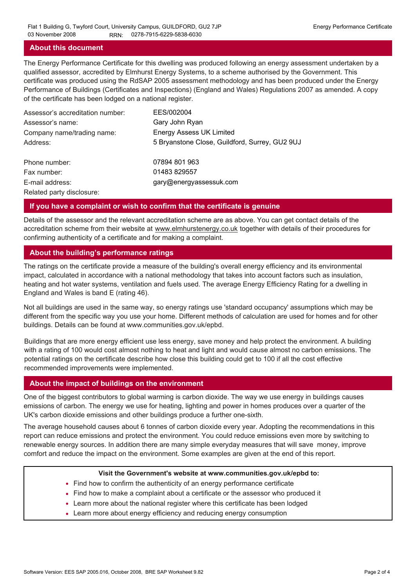## **About this document**

The Energy Performance Certificate for this dwelling was produced following an energy assessment undertaken by a qualified assessor, accredited by Elmhurst Energy Systems, to a scheme authorised by the Government. This certificate was produced using the RdSAP 2005 assessment methodology and has been produced under the Energy Performance of Buildings (Certificates and Inspections) (England and Wales) Regulations 2007 as amended. A copy of the certificate has been lodged on a national register.

| Assessor's accreditation number: | EES/002004                                     |
|----------------------------------|------------------------------------------------|
| Assessor's name:                 | Gary John Ryan                                 |
| Company name/trading name:       | <b>Energy Assess UK Limited</b>                |
| Address:                         | 5 Bryanstone Close, Guildford, Surrey, GU2 9UJ |
| Phone number:                    | 07894 801 963                                  |
| Fax number:                      | 01483 829557                                   |
| E-mail address:                  | gary@energyassessuk.com                        |
| Related party disclosure:        |                                                |

### **If you have a complaint or wish to confirm that the certificate is genuine**

Details of the assessor and the relevant accreditation scheme are as above. You can get contact details of the accreditation scheme from their website at www.elmhurstenergy.co.uk together with details of their procedures for confirming authenticity of a certificate and for making a complaint.

## **About the building's performance ratings**

The ratings on the certificate provide a measure of the building's overall energy efficiency and its environmental impact, calculated in accordance with a national methodology that takes into account factors such as insulation, heating and hot water systems, ventilation and fuels used. The average Energy Efficiency Rating for a dwelling in England and Wales is band E (rating 46).

Not all buildings are used in the same way, so energy ratings use 'standard occupancy' assumptions which may be different from the specific way you use your home. Different methods of calculation are used for homes and for other buildings. Details can be found at www.communities.gov.uk/epbd.

Buildings that are more energy efficient use less energy, save money and help protect the environment. A building with a rating of 100 would cost almost nothing to heat and light and would cause almost no carbon emissions. The potential ratings on the certificate describe how close this building could get to 100 if all the cost effective recommended improvements were implemented.

## **About the impact of buildings on the environment**

One of the biggest contributors to global warming is carbon dioxide. The way we use energy in buildings causes emissions of carbon. The energy we use for heating, lighting and power in homes produces over a quarter of the UK's carbon dioxide emissions and other buildings produce a further one-sixth.

The average household causes about 6 tonnes of carbon dioxide every year. Adopting the recommendations in this report can reduce emissions and protect the environment. You could reduce emissions even more by switching to renewable energy sources. In addition there are many simple everyday measures that will save money, improve comfort and reduce the impact on the environment. Some examples are given at the end of this report.

#### **Visit the Government's website at www.communities.gov.uk/epbd to:**

- Find how to confirm the authenticity of an energy performance certificate
- Find how to make a complaint about a certificate or the assessor who produced it •
- Learn more about the national register where this certificate has been lodged •
- Learn more about energy efficiency and reducing energy consumption •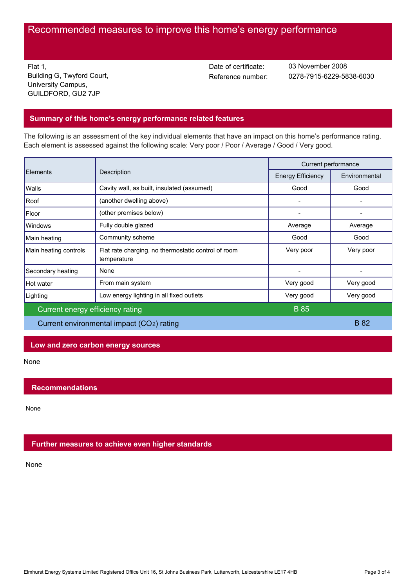# Recommended measures to improve this home's energy performance

Flat 1, Building G, Twyford Court, University Campus, GUILDFORD, GU2 7JP

Date of certificate:

Reference number: 0278-7915-6229-5838-6030 03 November 2008

## **Summary of this home's energy performance related features**

The following is an assessment of the key individual elements that have an impact on this home's performance rating. Each element is assessed against the following scale: Very poor / Poor / Average / Good / Very good.

| Elements<br>Description                   |                                                                    | Current performance      |               |
|-------------------------------------------|--------------------------------------------------------------------|--------------------------|---------------|
|                                           |                                                                    | <b>Energy Efficiency</b> | Environmental |
| Walls                                     | Cavity wall, as built, insulated (assumed)                         | Good                     | Good          |
| Roof                                      | (another dwelling above)                                           |                          |               |
| Floor                                     | (other premises below)                                             |                          |               |
| <b>Windows</b>                            | Fully double glazed                                                | Average                  | Average       |
| Main heating                              | Community scheme                                                   | Good                     | Good          |
| Main heating controls                     | Flat rate charging, no thermostatic control of room<br>temperature | Very poor                | Very poor     |
| Secondary heating                         | None                                                               |                          |               |
| Hot water                                 | From main system                                                   | Very good                | Very good     |
| Lighting                                  | Low energy lighting in all fixed outlets                           | Very good                | Very good     |
| Current energy efficiency rating          |                                                                    | <b>B</b> 85              |               |
| Current environmental impact (CO2) rating |                                                                    |                          | <b>B</b> 82   |

## **Low and zero carbon energy sources**

None

## **Recommendations**

None

## **Further measures to achieve even higher standards**

None